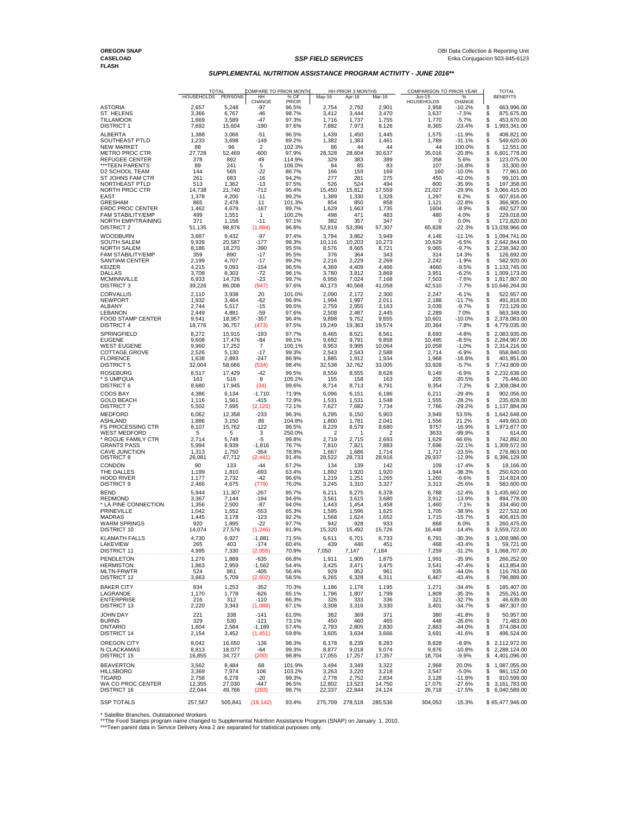## **SUPPLEMENTAL NUTRITION ASSISTANCE PROGRAM ACTIVITY - JUNE 2016\*\***

|                                                   | HOUSEHOLDS      | <b>TOTAL</b><br>PERSONS | HH                      | COMPARE TO PRIOR MONTH<br>% OF | HH PRIOR 3 MONTHS<br>COMPARISON TO PRIOR YEAR<br>May-16<br>Apr-16<br>Mar-16<br>Jun-15<br>% |                 |                 | <b>TOTAL</b><br><b>BENEFITS</b> |                      |                                          |
|---------------------------------------------------|-----------------|-------------------------|-------------------------|--------------------------------|--------------------------------------------------------------------------------------------|-----------------|-----------------|---------------------------------|----------------------|------------------------------------------|
|                                                   |                 |                         | CHANGE                  | <b>PRIOR</b>                   |                                                                                            |                 |                 | <b>HOUSEHOLDS</b>               | CHANGE               |                                          |
| <b>ASTORIA</b><br>ST. HELENS                      | 2,657<br>3,366  | 5,248<br>6,767          | -97<br>-46              | 96.5%<br>98.7%                 | 2,754<br>3,412                                                                             | 2,792<br>3,444  | 2,901<br>3,470  | 2,958<br>3,637                  | $-10.2%$<br>$-7.5%$  | \$<br>663,996.00<br>\$<br>875,675.00     |
| <b>TILLAMOOK</b>                                  | 1,669           | 3,589                   | -47                     | 97.3%                          | 1,716                                                                                      | 1,737           | 1,755           | 1,770                           | $-5.7%$              | \$<br>453,670.00                         |
| <b>DISTRICT 1</b>                                 | 7,692           | 15,604                  | -190                    | 97.6%                          | 7,882                                                                                      | 7,973           | 8,126           | 8,365                           | -23.4%               | \$<br>1,993,341.00                       |
| <b>ALBERTA</b>                                    | 1,388           | 3,066                   | $-51$<br>$-149$         | 96.5%                          | 1,439                                                                                      | 1,450           | 1,445           | 1,575<br>1,789                  | $-11.9%$<br>$-31.1%$ | \$<br>408,821.00<br>\$                   |
| SOUTHEAST PTLD<br><b>NEW MARKET</b>               | 1,233<br>88     | 3,698<br>96             | $\overline{2}$          | 89.2%<br>102.3%                | 1,382<br>86                                                                                | 1,383<br>44     | 1,461<br>44     | 44                              | 100.0%               | 549,620.00<br>S<br>12,551.00             |
| METRO PROC CTR                                    | 27,728          | 52,469                  | $-600$                  | 97.9%                          | 28,328                                                                                     | 28,604          | 30,637          | 35,016                          | $-20.8%$             | \$<br>6,601,778.00                       |
| REFUGEE CENTER<br>***TEEN PARENTS                 | 378<br>89       | 892<br>241              | 49<br>5                 | 114.9%<br>106.0%               | 329<br>84                                                                                  | 383<br>85       | 389<br>83       | 358<br>107                      | 5.6%<br>$-16.8%$     | \$<br>123,075.00<br>\$<br>33,300.00      |
| D2 SCHOOL TEAM                                    | 144             | 565                     | $-22$                   | 86.7%                          | 166                                                                                        | 159             | 169             | 160                             | $-10.0%$             | \$<br>77,861.00                          |
| ST JOHNS FAM CTR<br>NORTHEAST PTLD                | 261<br>513      | 683                     | $-16$<br>$-13$          | 94.2%                          | 277<br>526                                                                                 | 281<br>524      | 275<br>494      | 450<br>800                      | $-42.0%$<br>$-35.9%$ | \$<br>99,101.00<br>\$                    |
| NORTH PROC CTR                                    | 14,738          | 1,362<br>21,740         | $-712$                  | 97.5%<br>95.4%                 | 15,450                                                                                     | 15,812          | 17,559          | 21,027                          | $-29.9%$             | 197,358.00<br>\$<br>3,066,415.00         |
| EAST                                              | 1,378           | 4,200                   | $-11$                   | 99.2%                          | 1,389                                                                                      | 1,330           | 1,328           | 1,297                           | 6.2%                 | \$<br>607,816.00                         |
| <b>GRESHAM</b><br>ERDC PROC CENTER                | 865<br>1,462    | 2,478<br>4,679          | 11<br>$-167$            | 101.3%<br>89.7%                | 854<br>1,629                                                                               | 850<br>1,663    | 858<br>1,735    | 1,121<br>1604                   | $-22.8%$<br>$-8.9%$  | \$<br>366,905.00<br>S<br>492,527.00      |
| <b>FAM STABILITY/EMP</b>                          | 499             | 1,551                   | $\mathbf{1}$            | 100.2%                         | 498                                                                                        | 471             | 483             | 480                             | 4.0%                 | \$<br>229,018.00                         |
| NORTH EMP/TRAINING                                | 371             | 1,156                   | $-11$                   | 97.1%                          | 382                                                                                        | 357             | 347             | $\Omega$                        | 0.0%                 | \$<br>172,820.00                         |
| <b>DISTRICT 2</b>                                 | 51,135          | 98,876                  | (1,684)                 | 96.8%                          | 52,819                                                                                     | 53,396          | 57,307          | 65,828                          | $-22.3%$             | \$13,038,966.00                          |
| <b>WOODBURN</b><br><b>SOUTH SALEM</b>             | 3,687<br>9,939  | 9,432<br>20,587         | $-97$<br>-177           | 97.4%<br>98.3%                 | 3,784<br>10,116                                                                            | 3,862<br>10,203 | 3,949<br>10,273 | 4,146<br>10,629                 | $-11.1%$<br>$-6.5%$  | \$<br>1,094,741.00<br>\$<br>2,642,844.00 |
| <b>NORTH SALEM</b>                                | 8,186           | 18,270                  | -390                    | 95.5%                          | 8,576                                                                                      | 8,665           | 8,721           | 9,065                           | $-9.7%$              | 2,238,342.00<br>\$                       |
| <b>FAM STABILITY/EMP</b><br><b>SANTIAM CENTER</b> | 359<br>2,199    | 890<br>4,707            | -17<br>$-17$            | 95.5%<br>99.2%                 | 376<br>2,216                                                                               | 364<br>2,229    | 343<br>2,269    | 314<br>2,242                    | 14.3%<br>$-1.9%$     | 126,692.00<br>S<br>582,920.00<br>S       |
| KEIZER                                            | 4,215           | 9,093                   | $-154$                  | 96.5%                          | 4,369                                                                                      | 4,409           | 4,466           | 4660                            | $-9.5%$              | S<br>1,133,745.00                        |
| <b>DALLAS</b>                                     | 3,708           | 8,303                   | $-72$                   | 98.1%                          | 3,780                                                                                      | 3,812           | 3,869           | 3,951                           | $-6.2%$              | 1,009,173.00<br>\$                       |
| <b>MCMINNVILLE</b><br><b>DISTRICT 3</b>           | 6,933<br>39,226 | 14,726<br>86,008        | $-23$<br>(947)          | 99.7%<br>97.6%                 | 6,956<br>40,173                                                                            | 7,024<br>40,568 | 7,168<br>41,058 | 7,503<br>42,510                 | $-7.6%$<br>$-7.7%$   | \$<br>1,817,807.00<br>\$10,646,264.00    |
| <b>CORVALLIS</b>                                  | 2,110           | 3,938                   | 20                      | 101.0%                         | 2,090                                                                                      | 2,172           | 2,300           | 2,247                           | $-6.1%$              | \$<br>522,657.00                         |
| <b>NEWPORT</b>                                    | 1,932           | 3,464                   | -62                     | 96.9%                          | 1,994                                                                                      | 1,997           | 2,011           | 2,188                           | $-11.7%$             | \$<br>491,818.00                         |
| ALBANY<br><b>LEBANON</b>                          | 2,744<br>2,449  | 5,517                   | -15                     | 99.5%                          | 2,759                                                                                      | 2,955<br>2,487  | 3,163           | 3,039                           | $-9.7%$<br>7.0%      | \$<br>723,129.00<br>\$<br>663,348.00     |
| FOOD STAMP CENTER                                 | 9,541           | 4,881<br>18,957         | -59<br>-357             | 97.6%<br>96.4%                 | 2,508<br>9,898                                                                             | 9,752           | 2,445<br>9,655  | 2,289<br>10,601                 | -10.0%               | \$<br>2,378,083.00                       |
| <b>DISTRICT 4</b>                                 | 18,776          | 36,757                  | (473)                   | 97.5%                          | 19,249                                                                                     | 19,363          | 19,574          | 20,364                          | $-7.8%$              | \$<br>4,779,035.00                       |
| SPRINGFIELD                                       | 8,272           | 15,915                  | $-193$                  | 97.7%                          | 8,465                                                                                      | 8,521           | 8,561           | 8,693                           | $-4.8%$              | S<br>2,083,935.00                        |
| <b>EUGENE</b><br><b>WEST EUGENE</b>               | 9,608<br>9,960  | 17,476<br>17,252        | $-84$<br>$\overline{7}$ | 99.1%<br>100.1%                | 9,692<br>9,953                                                                             | 9,791<br>9,995  | 9,858<br>10,064 | 10,495<br>10,058                | $-8.5%$<br>$-1.0%$   | \$<br>2,284,967.00<br>\$<br>2,314,216.00 |
| <b>COTTAGE GROVE</b>                              | 2,526           | 5,130                   | $-17$                   | 99.3%                          | 2,543                                                                                      | 2,543           | 2,588           | 2,714                           | $-6.9%$              | 658,840.00<br>S                          |
| <b>FLORENCE</b><br><b>DISTRICT 5</b>              | 1,638<br>32,004 | 2,893                   | $-247$                  | 86.9%                          | 1,885                                                                                      | 1,912<br>32,762 | 1,934           | 1,968                           | $-16.8%$<br>$-5.7%$  | 401,851.00<br>S<br>\$<br>7,743,809.00    |
| <b>ROSEBURG</b>                                   | 8,517           | 58,666<br>17,429        | (534)<br>$-42$          | 98.4%<br>99.5%                 | 32,538<br>8,559                                                                            | 8,555           | 33,005<br>8,628 | 33,928<br>9,149                 | $-6.9%$              | \$<br>2,232,638.00                       |
| * S UMPQUA                                        | 163             | 516                     | 8                       | 105.2%                         | 155                                                                                        | 158             | 163             | 205                             | -20.5%               | \$<br>75,446.00                          |
| DISTRICT 6                                        | 8,680           | 17,945                  | (34)                    | 99.6%                          | 8,714                                                                                      | 8,713           | 8,791           | 9,354                           | $-7.2%$              | \$<br>2,308,084.00                       |
| COOS BAY                                          | 4,386           | 6,134                   | $-1,710$                | 71.9%                          | 6,096                                                                                      | 6,151           | 6,186           | 6,211                           | $-29.4%$             | S<br>902,056.00                          |
| <b>GOLD BEACH</b><br><b>DISTRICT 7</b>            | 1,116<br>5,502  | 1,561<br>7,695          | $-415$<br>(2, 125)      | 72.9%<br>72.1%                 | 1,531<br>7,627                                                                             | 1,531<br>7,682  | 1,548<br>7,734  | 1,555<br>7,766                  | $-28.2%$<br>$-29.2%$ | S<br>235,828.00<br>\$<br>1,137,884.00    |
| <b>MEDFORD</b>                                    | 6,062           | 12,358                  | -233                    | 96.3%                          | 6,295                                                                                      | 6,150           | 5,903           | 3,949                           | 53.5%                | \$<br>1,642,648.00                       |
| ASHLAND                                           | 1,886           | 3,150                   | 86                      | 104.8%                         | 1,800                                                                                      | 1,781           | 2,041           | 1,556                           | 21.2%                | \$<br>449,663.00                         |
| <b>FS PROCESSING CTR</b><br><b>WEST MEDFORD</b>   | 8,107<br>5      | 15,762<br>5             | -122<br>3               | 98.5%<br>250.0%                | 8,229<br>2                                                                                 | 8,579<br>1      | 8,680<br>2      | 9757<br>3633                    | $-16.9%$<br>-99.9%   | \$<br>1,973,877.00<br>\$<br>614.00       |
| * ROGUE FAMILY CTR                                | 2,714           | 5,748                   | -5                      | 99.8%                          | 2,719                                                                                      | 2,715           | 2,693           | 1,629                           | 66.6%                | \$<br>742,892.00                         |
| GRANTS PASS                                       | 5,994           | 8,939                   | $-1,816$                | 76.7%                          | 7,810                                                                                      | 7,821           | 7,883           | 7,696                           | $-22.1%$             | \$<br>1,309,572.00                       |
| CAVE JUNCTION<br><b>DISTRICT 8</b>                | 1,313<br>26,081 | 1,750<br>47,712         | -354<br>(2, 441)        | 78.8%<br>91.4%                 | 1,667<br>28,522                                                                            | 1,686<br>28,733 | 1,714<br>28,916 | 1,717<br>29,937                 | $-23.5%$<br>$-12.9%$ | \$<br>276,863.00<br>\$<br>6,396,129.00   |
| <b>CONDON</b>                                     | 90              | 133                     | $-44$                   | 67.2%                          | 134                                                                                        | 139             | 142             | 109                             | $-17.4%$             | \$<br>18,166.00                          |
| THE DALLES                                        | 1,199           | 1,810                   | -693                    | 63.4%                          | 1,892                                                                                      | 1,920           | 1,920           | 1,944                           | $-38.3%$             | \$<br>250,620.00                         |
| <b>HOOD RIVER</b><br><b>DISTRICT 9</b>            | 1,177<br>2,466  | 2,732<br>4,675          | -42<br>(779)            | 96.6%<br>76.0%                 | 1,219<br>3,245                                                                             | 1,251<br>3,310  | 1,265<br>3,327  | 1,260<br>3,313                  | $-6.6%$<br>$-25.6%$  | \$<br>314,814.00<br>\$<br>583,600.00     |
| <b>BEND</b>                                       | 5,944           | 11,307                  | $-267$                  | 95.7%                          | 6,211                                                                                      | 6,275           | 6,378           | 6,788                           | $-12.4%$             | \$<br>1,435,662.00                       |
| <b>REDMOND</b>                                    | 3,367           | 7,144                   | $-194$                  | 94.6%                          | 3,561                                                                                      | 3,615           | 3,680           | 3,912                           | $-13.9%$             | \$<br>894,778.00                         |
| * LA PINE CONNECTION<br>PRINEVILLE                | 1,356<br>1,042  | 2,500<br>1,552          | $-87$<br>$-553$         | 94.0%<br>65.3%                 | 1,443<br>1,595                                                                             | 1,454<br>1,596  | 1,458<br>1,625  | 1,460<br>1,705                  | $-7.1%$<br>$-38.9%$  | \$<br>334,460.00<br>\$<br>227,532.00     |
| <b>MADRAS</b>                                     | 1,445           | 3,178                   | $-123$                  | 92.2%                          | 1,568                                                                                      | 1,624           | 1,652           | 1,715                           | $-15.7%$             | S<br>406,815.00                          |
| <b>WARM SPRINGS</b>                               | 920             | 1,895                   | $-22$                   | 97.7%                          | 942                                                                                        | 928             | 933             | 868                             | 6.0%                 | \$<br>260,475.00                         |
| <b>DISTRICT 10</b>                                | 14,074          | 27,576                  | (1, 246)                | 91.9%                          | 15,320                                                                                     | 15,492          | 15,726          | 16,448                          | $-14.4%$<br>$-30.3%$ | \$<br>3,559,722.00                       |
| <b>KLAMATH FALLS</b><br>LAKEVIEW                  | 4,730<br>265    | 6,927<br>403            | -1,881<br>$-174$        | 71.5%<br>60.4%                 | 6,611<br>439                                                                               | 6,701<br>446    | 6,733<br>451    | 6,791<br>468                    | $-43.4%$             | S<br>1,008,986.00<br>S<br>59,721.00      |
| <b>DISTRICT 11</b>                                | 4,995           | 7,330                   | (2,055)                 | 70.9%                          | 7,050                                                                                      | 7,147           | 7,184           | 7,259                           | $-31.2%$             | \$<br>1,068,707.00                       |
| PENDLETON                                         | 1,276           | 1,889                   | $-635$                  | 66.8%                          | 1,911                                                                                      | 1,905           | 1,875           | 1,991                           | $-35.9%$             | \$<br>266,252.00                         |
| <b>HERMISTON</b><br><b>MLTN-FRWTR</b>             | 1,863<br>524    | 2,959<br>861            | $-1,562$<br>$-405$      | 54.4%<br>56.4%                 | 3,425<br>929                                                                               | 3,471<br>952    | 3,475<br>961    | 3,541<br>935                    | $-47.4%$<br>$-44.0%$ | \$<br>413,854.00<br>\$<br>116,783.00     |
| <b>DISTRICT 12</b>                                | 3,663           | 5,709                   | (2,602)                 | 58.5%                          | 6,265                                                                                      | 6,328           | 6,311           | 6,467                           | $-43.4%$             | \$<br>796,889.00                         |
| <b>BAKER CITY</b>                                 | 834             | 1,253                   | $-352$                  | 70.3%                          | 1,186                                                                                      | 1,176           | 1,195           | 1,271                           | $-34.4%$             | \$<br>185,407.00                         |
| LAGRANDE                                          | 1,170           | 1,778                   | $-626$                  | 65.1%                          | 1,796                                                                                      | 1,807           | 1,799           | 1,809                           | $-35.3%$             | \$<br>255,261.00                         |
| <b>ENTERPRISE</b><br><b>DISTRICT 13</b>           | 216<br>2,220    | 312<br>3,343            | $-110$<br>(1,088)       | 66.3%<br>67.1%                 | 326<br>3,308                                                                               | 333<br>3,316    | 336<br>3,330    | 321<br>3,401                    | $-32.7%$<br>$-34.7%$ | \$<br>46,639.00<br>\$<br>487,307.00      |
| <b>JOHN DAY</b>                                   | 221             | 338                     | $-141$                  | 61.0%                          | 362                                                                                        | 369             | 371             | 380                             | $-41.8%$             | \$<br>50,957.00                          |
| <b>BURNS</b>                                      | 329             | 530                     | $-121$                  | 73.1%                          | 450                                                                                        | 460             | 465             | 448                             | $-26.6%$             | \$<br>71,483.00                          |
| <b>ONTARIO</b>                                    | 1,604           | 2,584                   | $-1,189$                | 57.4%                          | 2,793                                                                                      | 2,805           | 2,830           | 2,863                           | $-44.0%$             | \$<br>374,084.00                         |
| <b>DISTRICT 14</b>                                | 2,154           | 3,452                   | (1, 451)                | 59.8%                          | 3,605                                                                                      | 3,634           | 3,666           | 3,691                           | $-41.6%$             | \$<br>496,524.00                         |
| <b>OREGON CITY</b><br>N CLACKAMAS                 | 8,042<br>8,813  | 16,650<br>18.077        | $-136$<br>-64           | 98.3%<br>99.3%                 | 8,178<br>8,877                                                                             | 8,239<br>9,018  | 8,283<br>9,074  | 8,828<br>9,876                  | $-8.9%$<br>$-10.8%$  | \$<br>2,112,972.00<br>\$<br>2,288,124.00 |
| <b>DISTRICT 15</b>                                | 16,855          | 34,727                  | (200)                   | 98.8%                          | 17,055                                                                                     | 17,257          | 17,357          | 18,704                          | $-9.9%$              | \$<br>4,401,096.00                       |
| <b>BEAVERTON</b>                                  | 3,562           | 8,484                   | 68                      | 101.9%                         | 3,494                                                                                      | 3,349           | 3,322           | 2,968                           | 20.0%                | \$<br>1,087,055.00                       |
| <b>HILLSBORO</b>                                  | 3,369           | 7,974                   | 106                     | 103.2%                         | 3,263                                                                                      | 3,220           | 3,218           | 3,547                           | $-5.0%$              | \$<br>981,152.00                         |
| <b>TIGARD</b><br>WA CO PROC CENTER                | 2,758<br>12,355 | 6,278<br>27,030         | $-20$<br>$-447$         | 99.3%<br>96.5%                 | 2,778<br>12,802                                                                            | 2,752<br>13,523 | 2,834<br>14,750 | 3,128<br>17,075                 | $-11.8%$<br>$-27.6%$ | S<br>810,599.00<br>\$<br>3,161,783.00    |
| <b>DISTRICT 16</b>                                | 22,044          | 49,766                  | (293)                   | 98.7%                          | 22,337                                                                                     | 22,844          | 24,124          | 26,718                          | $-17.5%$             | \$<br>6,040,589.00                       |
| <b>SSP TOTALS</b>                                 | 257,567         | 505,841                 | (18, 142)               | 93.4%                          | 275,709                                                                                    | 278,518         | 285,536         | 304,053                         | $-15.3%$             | \$65,477,946.00                          |
|                                                   |                 |                         |                         |                                |                                                                                            |                 |                 |                                 |                      |                                          |

\* Satellite Branches, Outstationed Workers<br>\*\*The Food Stamps program name changed to Supplemental Nutrition Assistance Program (SNAP) on January 1, 2010.<br>\*\*\*Teen parent data in Service Delivery Area 2 are separated for st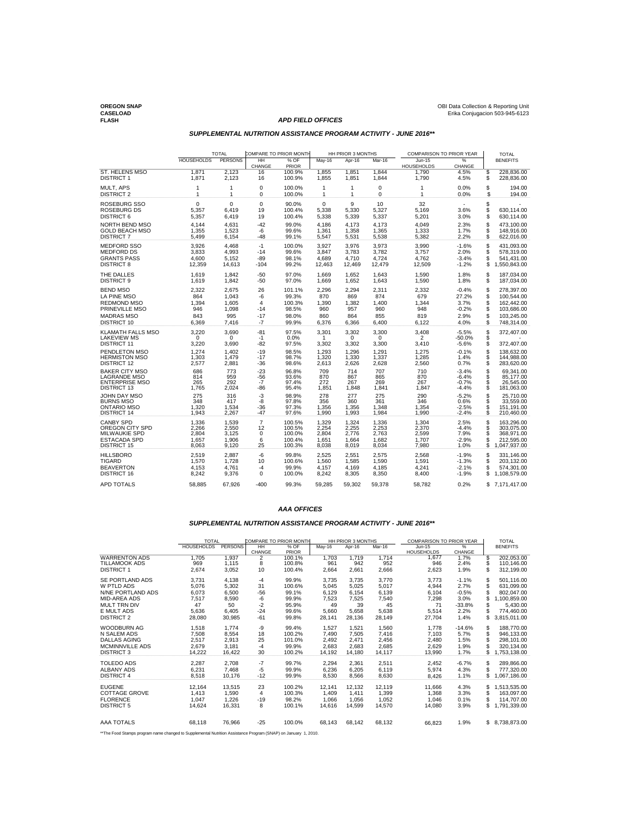**FLASH APD FIELD OFFICES**

# **OREGON SNAP** OBI Data Collection & Reporting Unit **CASELOAD** Erika Conjugacion 503-945-6123

# **SUPPLEMENTAL NUTRITION ASSISTANCE PROGRAM ACTIVITY - JUNE 2016\*\***

|                                                                                      | <b>TOTAL</b>                 |                              | COMPARE TO PRIOR MONTH        |                                  | HH PRIOR 3 MONTHS            |                              |                              | COMPARISON TO PRIOR YEAR      |                                          |                      | <b>TOTAL</b>                                       |
|--------------------------------------------------------------------------------------|------------------------------|------------------------------|-------------------------------|----------------------------------|------------------------------|------------------------------|------------------------------|-------------------------------|------------------------------------------|----------------------|----------------------------------------------------|
|                                                                                      | <b>HOUSEHOLDS</b>            | <b>PERSONS</b>               | HH<br>CHANGE                  | $%$ OF<br>PRIOR                  | May-16                       | Apr-16                       | Mar-16                       | $Jun-15$<br><b>HOUSEHOLDS</b> | %<br>CHANGE                              |                      | <b>BENEFITS</b>                                    |
| <b>ST. HELENS MSO</b>                                                                | 1,871                        | 2,123                        | 16                            | 100.9%                           | 1,855                        | 1,851                        | 1,844                        | 1,790                         | 4.5%                                     | \$                   | 228,836.00                                         |
| <b>DISTRICT 1</b>                                                                    | 1.871                        | 2.123                        | 16                            | 100.9%                           | 1.855                        | 1.851                        | 1.844                        | 1,790                         | 4.5%                                     | S                    | 228.836.00                                         |
| MULT, APS                                                                            | 1                            | 1                            | 0                             | 100.0%                           | $\mathbf{1}$                 | 1                            | 0                            | 1                             | 0.0%                                     | \$                   | 194.00                                             |
| <b>DISTRICT 2</b>                                                                    | $\mathbf{1}$                 | 1                            | 0                             | 100.0%                           | $\mathbf{1}$                 | 1                            | $\mathbf 0$                  | 1                             | 0.0%                                     | \$                   | 194.00                                             |
| ROSEBURG SSO<br><b>ROSEBURG DS</b><br><b>DISTRICT 6</b>                              | 0<br>5,357<br>5,357          | 0<br>6,419<br>6,419          | 0<br>19<br>19                 | 90.0%<br>100.4%<br>100.4%        | 0<br>5,338<br>5,338          | 9<br>5,330<br>5,339          | 10<br>5,327<br>5,337         | 32<br>5,169<br>5,201          | 3.6%<br>3.0%                             | \$<br>S<br>\$        | 630.114.00<br>630,114.00                           |
| NORTH BEND MSO                                                                       | 4.144                        | 4.631                        | $-42$                         | 99.0%                            | 4.186                        | 4.173                        | 4.173                        | 4.049                         | 2.3%                                     | S                    | 473.100.00                                         |
| <b>GOLD BEACH MSO</b>                                                                | 1,355                        | 1,523                        | -6                            | 99.6%                            | 1,361                        | 1.358                        | 1,365                        | 1,333                         | 1.7%                                     | \$                   | 148.916.00                                         |
| <b>DISTRICT 7</b>                                                                    | 5,499                        | 6,154                        | $-48$                         | 99.1%                            | 5,547                        | 5,531                        | 5,538                        | 5,382                         | 2.2%                                     | \$                   | 622,016.00                                         |
| <b>MEDFORD SSO</b>                                                                   | 3,926                        | 4,468                        | $-1$                          | 100.0%                           | 3,927                        | 3,976                        | 3,973                        | 3,990                         | $-1.6%$                                  | \$                   | 431,093.00                                         |
| <b>MEDFORD DS</b>                                                                    | 3,833                        | 4,993                        | $-14$                         | 99.6%                            | 3.847                        | 3.783                        | 3.782                        | 3,757                         | 2.0%                                     | \$                   | 578.319.00                                         |
| <b>GRANTS PASS</b>                                                                   | 4,600                        | 5,152                        | -89                           | 98.1%                            | 4,689                        | 4,710                        | 4,724                        | 4,762                         | -3.4%                                    | \$                   | 541,431.00                                         |
| <b>DISTRICT 8</b>                                                                    | 12,359                       | 14,613                       | $-104$                        | 99.2%                            | 12,463                       | 12.469                       | 12,479                       | 12,509                        | $-1.2%$                                  | \$                   | 1,550,843.00                                       |
| THE DALLES                                                                           | 1,619                        | 1,842                        | $-50$                         | 97.0%                            | 1,669                        | 1,652                        | 1,643                        | 1,590                         | 1.8%                                     | \$                   | 187,034.00                                         |
| <b>DISTRICT 9</b>                                                                    | 1.619                        | 1,842                        | $-50$                         | 97.0%                            | 1,669                        | 1.652                        | 1,643                        | 1,590                         | 1.8%                                     | \$                   | 187,034.00                                         |
| <b>BEND MSO</b>                                                                      | 2,322                        | 2,675                        | 26                            | 101.1%                           | 2,296                        | 2,294                        | 2,311                        | 2,332                         | $-0.4%$                                  | \$                   | 278,397.00                                         |
| LA PINE MSO                                                                          | 864                          | 1,043                        | -6                            | 99.3%                            | 870                          | 869                          | 874                          | 679                           | 27.2%                                    | \$                   | 100,544.00                                         |
| <b>REDMOND MSO</b>                                                                   | 1,394                        | 1,605                        | 4                             | 100.3%                           | 1,390                        | 1,382                        | 1,400                        | 1,344                         | 3.7%                                     | \$                   | 162,442.00                                         |
| PRINEVILLE MSO                                                                       | 946                          | 1,098                        | $-14$                         | 98.5%                            | 960                          | 957                          | 960                          | 948                           | $-0.2%$                                  | \$                   | 103,686.00                                         |
| <b>MADRAS MSO</b>                                                                    | 843                          | 995                          | $-17$                         | 98.0%                            | 860                          | 864                          | 855                          | 819                           | 2.9%                                     | \$                   | 103,245.00                                         |
| <b>DISTRICT 10</b>                                                                   | 6,369                        | 7,416                        | $-7$                          | 99.9%                            | 6,376                        | 6,366                        | 6,400                        | 6,122                         | 4.0%                                     | S                    | 748,314.00                                         |
| <b>KLAMATH FALLS MSO</b><br><b>LAKEVIEW MS</b><br><b>DISTRICT 11</b>                 | 3,220<br>0<br>3,220          | 3,690<br>$\Omega$<br>3,690   | $-81$<br>$-1$<br>$-82$        | 97.5%<br>0.0%<br>97.5%           | 3,301<br>1<br>3,302          | 3,302<br>$\Omega$<br>3,302   | 3,300<br>$\Omega$<br>3,300   | 3,408<br>2<br>3,410           | $-5.5%$<br>$-50.0%$<br>$-5.6%$           | <b>၆</b><br>\$       | 372.407.00<br>372,407.00                           |
| PENDLETON MSO<br><b>HERMISTON MSO</b><br><b>DISTRICT 12</b>                          | 1,274<br>1,303<br>2,577      | 1,402<br>1,479<br>2,881      | $-19$<br>$-17$<br>$-36$       | 98.5%<br>98.7%<br>98.6%          | 1,293<br>1,320<br>2,613      | 1.296<br>1,330<br>2,626      | 1,291<br>1,337<br>2,628      | 1,275<br>1,285<br>2,560       | $-0.1%$<br>1.4%<br>0.7%                  | \$<br>\$             | 138,632.00<br>144,988.00<br>283,620.00             |
| <b>BAKER CITY MSO</b><br>LAGRANDE MSO<br><b>ENTERPRISE MSO</b><br><b>DISTRICT 13</b> | 686<br>814<br>265<br>1,765   | 773<br>959<br>292<br>2,024   | $-23$<br>-56<br>$-7$<br>$-86$ | 96.8%<br>93.6%<br>97.4%<br>95.4% | 709<br>870<br>272<br>1,851   | 714<br>867<br>267<br>1,848   | 707<br>865<br>269<br>1,841   | 710<br>870<br>267<br>1,847    | $-3.4%$<br>$-6.4%$<br>$-0.7%$<br>$-4.4%$ | \$<br>\$<br>\$<br>\$ | 69,341.00<br>85.177.00<br>26,545.00<br>181,063.00  |
| JOHN DAY MSO<br><b>BURNS MSO</b><br><b>ONTARIO MSO</b><br><b>DISTRICT 14</b>         | 275<br>348<br>1,320<br>1.943 | 316<br>417<br>1,534<br>2,267 | $-3$<br>-8<br>$-36$<br>$-47$  | 98.9%<br>97.8%<br>97.3%<br>97.6% | 278<br>356<br>1,356<br>1.990 | 277<br>360<br>1.356<br>1.993 | 275<br>361<br>1.348<br>1,984 | 290<br>346<br>1.354<br>1.990  | $-5.2%$<br>0.6%<br>$-2.5%$<br>$-2.4%$    | မေမ<br>S             | 25.710.00<br>33.559.00<br>151,191.00<br>210,460.00 |
| <b>CANBY SPD</b>                                                                     | 1,336                        | 1,539                        | $\overline{7}$                | 100.5%                           | 1,329                        | 1,324                        | 1,336                        | 1,304                         | 2.5%                                     | \$                   | 163,296.00                                         |
| OREGON CITY SPD                                                                      | 2,266                        | 2,550                        | 12                            | 100.5%                           | 2,254                        | 2,255                        | 2,253                        | 2,370                         | $-4.4%$                                  | \$                   | 303,075.00                                         |
| MILWAUKIE SPD                                                                        | 2,804                        | 3,125                        | 0                             | 100.0%                           | 2,804                        | 2,776                        | 2,763                        | 2,599                         | 7.9%                                     | Š                    | 368,971.00                                         |
| <b>ESTACADA SPD</b>                                                                  | 1,657                        | 1,906                        | 6                             | 100.4%                           | 1,651                        | 1,664                        | 1,682                        | 1,707                         | $-2.9%$                                  | \$                   | 212.595.00                                         |
| <b>DISTRICT 15</b>                                                                   | 8,063                        | 9,120                        | 25                            | 100.3%                           | 8,038                        | 8,019                        | 8,034                        | 7,980                         | 1.0%                                     | S                    | 1,047,937.00                                       |
| <b>HILLSBORO</b>                                                                     | 2,519                        | 2,887                        | -6                            | 99.8%                            | 2,525                        | 2,551                        | 2,575                        | 2,568                         | $-1.9%$                                  | \$                   | 331,146.00                                         |
| <b>TIGARD</b>                                                                        | 1,570                        | 1,728                        | 10                            | 100.6%                           | 1,560                        | 1.585                        | 1,590                        | 1,591                         | $-1.3%$                                  | \$                   | 203,132.00                                         |
| <b>BEAVERTON</b>                                                                     | 4.153                        | 4,761                        | $-4$                          | 99.9%                            | 4,157                        | 4,169                        | 4,185                        | 4,241                         | $-2.1%$                                  | \$                   | 574,301.00                                         |
| <b>DISTRICT 16</b>                                                                   | 8,242                        | 9,376                        | 0                             | 100.0%                           | 8,242                        | 8,305                        | 8,350                        | 8,400                         | $-1.9%$                                  | Ś                    | 1,108,579.00                                       |
| <b>APD TOTALS</b>                                                                    | 58,885                       | 67,926                       | $-400$                        | 99.3%                            | 59,285                       | 59.302                       | 59.378                       | 58.782                        | 0.2%                                     | \$                   | 7,171,417.00                                       |

### **AAA OFFICES**

### **SUPPLEMENTAL NUTRITION ASSISTANCE PROGRAM ACTIVITY - JUNE 2016\*\***

|                        | <b>TOTAL</b>      |                | COMPARE TO PRIOR MONTH |               | HH PRIOR 3 MONTHS |        |        | <b>COMPARISON TO PRIOR YEAR</b> |             | <b>TOTAL</b> |                 |
|------------------------|-------------------|----------------|------------------------|---------------|-------------------|--------|--------|---------------------------------|-------------|--------------|-----------------|
|                        | <b>HOUSEHOLDS</b> | <b>PERSONS</b> | HH<br>CHANGE           | % OF<br>PRIOR | May-16            | Apr-16 | Mar-16 | Jun-15<br><b>HOUSEHOLDS</b>     | %<br>CHANGE |              | <b>BENEFITS</b> |
| <b>WARRENTON ADS</b>   | 1.705             | 1.937          | 2                      | 100.1%        | 1.703             | 1.719  | 1.714  | 1.677                           | 1.7%        | S            | 202.053.00      |
| TILLAMOOK ADS          | 969               | 1,115          | 8                      | 100.8%        | 961               | 942    | 952    | 946                             | 2.4%        | S            | 110.146.00      |
| <b>DISTRICT 1</b>      | 2,674             | 3,052          | 10                     | 100.4%        | 2.664             | 2.661  | 2,666  | 2.623                           | 1.9%        | S            | 312,199.00      |
| SE PORTLAND ADS        | 3.731             | 4.138          | $-4$                   | 99.9%         | 3.735             | 3.735  | 3.770  | 3.773                           | $-1.1%$     | S            | 501.116.00      |
| W PTLD ADS             | 5.076             | 5,302          | 31                     | 100.6%        | 5.045             | 5.025  | 5.017  | 4.944                           | 2.7%        | S            | 631.099.00      |
| N/NE PORTLAND ADS      | 6.073             | 6.500          | $-56$                  | 99.1%         | 6,129             | 6.154  | 6,139  | 6.104                           | $-0.5%$     | S            | 802.047.00      |
| MID-AREA ADS           | 7,517             | 8,590          | -6                     | 99.9%         | 7.523             | 7.525  | 7.540  | 7.298                           | 3.0%        | S            | 1,100,859.00    |
| <b>MULT TRN DIV</b>    | 47                | 50             | $-2$                   | 95.9%         | 49                | 39     | 45     | 71                              | $-33.8%$    | S            | 5,430.00        |
| E MULT ADS             | 5.636             | 6.405          | $-24$                  | 99.6%         | 5.660             | 5.658  | 5.638  | 5,514                           | 2.2%        |              | 774.460.00      |
| <b>DISTRICT 2</b>      | 28.080            | 30.985         | $-61$                  | 99.8%         | 28,141            | 28.136 | 28,149 | 27.704                          | 1.4%        | S            | 3.815.011.00    |
| <b>WOODBURN AG</b>     | 1,518             | 1.774          | -9                     | 99.4%         | 1.527             | 1,521  | 1.560  | 1.778                           | $-14.6%$    | S            | 188.770.00      |
| N SALEM ADS            | 7.508             | 8.554          | 18                     | 100.2%        | 7.490             | 7.505  | 7.416  | 7.103                           | 5.7%        | S            | 946.133.00      |
| DALLAS AGING           | 2.517             | 2.913          | 25                     | 101.0%        | 2.492             | 2.471  | 2.456  | 2.480                           | 1.5%        | S            | 298.101.00      |
| <b>MCMINNVILLE ADS</b> | 2.679             | 3.181          | $-4$                   | 99.9%         | 2.683             | 2.683  | 2,685  | 2.629                           | 1.9%        | S            | 320.134.00      |
| <b>DISTRICT 3</b>      | 14.222            | 16.422         | 30                     | 100.2%        | 14.192            | 14,180 | 14.117 | 13.990                          | 1.7%        | S            | 1,753,138.00    |
| TOLEDO ADS             | 2.287             | 2.708          | $-7$                   | 99.7%         | 2.294             | 2.361  | 2.511  | 2.452                           | $-6.7%$     | S            | 289.866.00      |
| <b>ALBANY ADS</b>      | 6,231             | 7,468          | -5                     | 99.9%         | 6.236             | 6.205  | 6.119  | 5.974                           | 4.3%        | S            | 777.320.00      |
| <b>DISTRICT 4</b>      | 8.518             | 10.176         | $-12$                  | 99.9%         | 8.530             | 8.566  | 8.630  | 8.426                           | 1.1%        | S            | ,067,186.00     |
| <b>EUGENE</b>          | 12.164            | 13,515         | 23                     | 100.2%        | 12.141            | 12.132 | 12.119 | 11.666                          | 4.3%        | S            | 1.513.535.00    |
| COTTAGE GROVE          | 1.413             | 1,590          | 4                      | 100.3%        | 1.409             | 1.411  | 1.399  | 1.368                           | 3.3%        | S            | 163.097.00      |
| <b>FLORENCE</b>        | 1.047             | 1.226          | $-19$                  | 98.2%         | 1.066             | 1.056  | 1.052  | 1.046                           | 0.1%        | S            | 114.707.00      |
| <b>DISTRICT 5</b>      | 14.624            | 16.331         | 8                      | 100.1%        | 14.616            | 14.599 | 14,570 | 14.080                          | 3.9%        | S            | 1.791.339.00    |
|                        |                   |                |                        |               |                   |        |        |                                 |             |              |                 |
| <b>AAA TOTALS</b>      | 68.118            | 76.966         | $-25$                  | 100.0%        | 68.143            | 68.142 | 68,132 | 66.823                          | 1.9%        |              | \$ 8,738,873.00 |

\*\*The Food Stamps program name changed to Supplemental Nutrition Assistance Program (SNAP) on January 1, 2010.